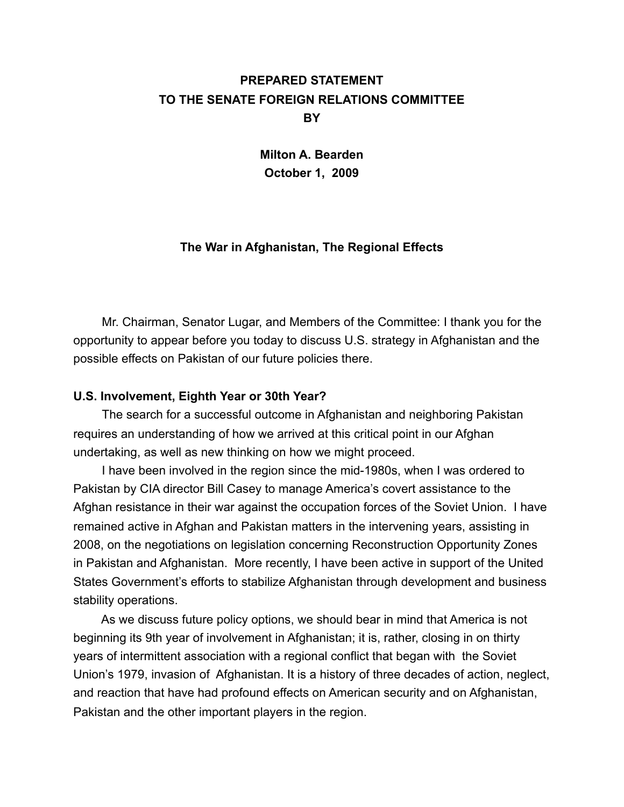# **PREPARED STATEMENT TO THE SENATE FOREIGN RELATIONS COMMITTEE BY**

**Milton A. Bearden October 1, 2009**

# **The War in Afghanistan, The Regional Effects**

 Mr. Chairman, Senator Lugar, and Members of the Committee: I thank you for the opportunity to appear before you today to discuss U.S. strategy in Afghanistan and the possible effects on Pakistan of our future policies there.

# **U.S. Involvement, Eighth Year or 30th Year?**

The search for a successful outcome in Afghanistan and neighboring Pakistan requires an understanding of how we arrived at this critical point in our Afghan undertaking, as well as new thinking on how we might proceed.

 I have been involved in the region since the mid-1980s, when I was ordered to Pakistan by CIA director Bill Casey to manage America's covert assistance to the Afghan resistance in their war against the occupation forces of the Soviet Union. I have remained active in Afghan and Pakistan matters in the intervening years, assisting in 2008, on the negotiations on legislation concerning Reconstruction Opportunity Zones in Pakistan and Afghanistan. More recently, I have been active in support of the United States Government's efforts to stabilize Afghanistan through development and business stability operations.

 As we discuss future policy options, we should bear in mind that America is not beginning its 9th year of involvement in Afghanistan; it is, rather, closing in on thirty years of intermittent association with a regional conflict that began with the Soviet Union's 1979, invasion of Afghanistan. It is a history of three decades of action, neglect, and reaction that have had profound effects on American security and on Afghanistan, Pakistan and the other important players in the region.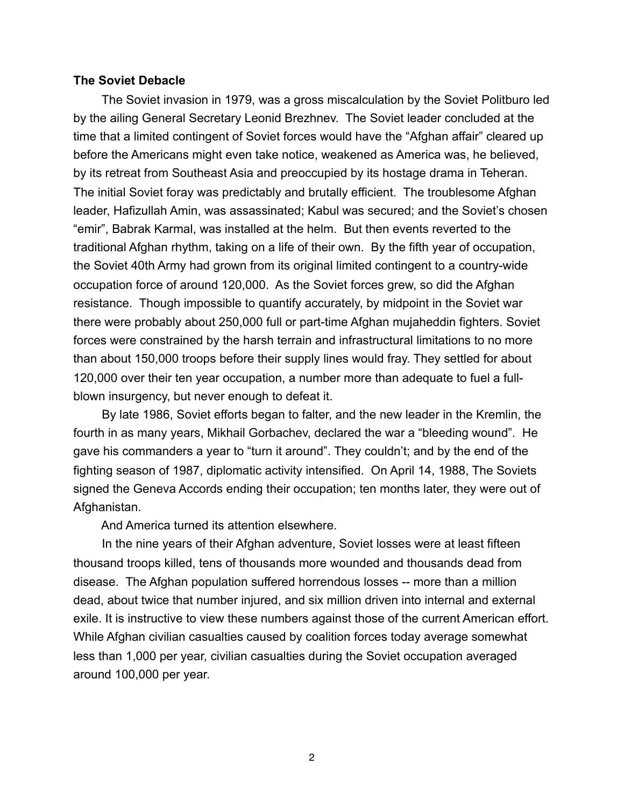#### **The Soviet Debacle**

 The Soviet invasion in 1979, was a gross miscalculation by the Soviet Politburo led by the ailing General Secretary Leonid Brezhnev. The Soviet leader concluded at the time that a limited contingent of Soviet forces would have the "Afghan affair" cleared up before the Americans might even take notice, weakened as America was, he believed, by its retreat from Southeast Asia and preoccupied by its hostage drama in Teheran. The initial Soviet foray was predictably and brutally efficient. The troublesome Afghan leader, Hafizullah Amin, was assassinated; Kabul was secured; and the Soviet's chosen "emir", Babrak Karmal, was installed at the helm. But then events reverted to the traditional Afghan rhythm, taking on a life of their own. By the fifth year of occupation, the Soviet 40th Army had grown from its original limited contingent to a country-wide occupation force of around 120,000. As the Soviet forces grew, so did the Afghan resistance. Though impossible to quantify accurately, by midpoint in the Soviet war there were probably about 250,000 full or part-time Afghan mujaheddin fighters. Soviet forces were constrained by the harsh terrain and infrastructural limitations to no more than about 150,000 troops before their supply lines would fray. They settled for about 120,000 over their ten year occupation, a number more than adequate to fuel a fullblown insurgency, but never enough to defeat it.

 By late 1986, Soviet efforts began to falter, and the new leader in the Kremlin, the fourth in as many years, Mikhail Gorbachev, declared the war a "bleeding wound". He gave his commanders a year to "turn it around". They couldn't; and by the end of the fighting season of 1987, diplomatic activity intensified. On April 14, 1988, The Soviets signed the Geneva Accords ending their occupation; ten months later, they were out of Afghanistan.

And America turned its attention elsewhere.

 In the nine years of their Afghan adventure, Soviet losses were at least fifteen thousand troops killed, tens of thousands more wounded and thousands dead from disease. The Afghan population suffered horrendous losses -- more than a million dead, about twice that number injured, and six million driven into internal and external exile. It is instructive to view these numbers against those of the current American effort. While Afghan civilian casualties caused by coalition forces today average somewhat less than 1,000 per year, civilian casualties during the Soviet occupation averaged around 100,000 per year.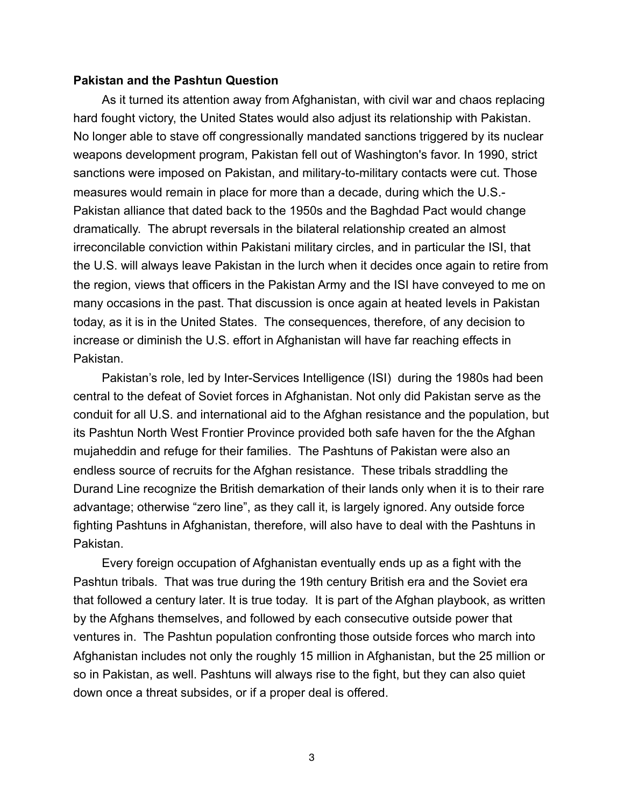#### **Pakistan and the Pashtun Question**

As it turned its attention away from Afghanistan, with civil war and chaos replacing hard fought victory, the United States would also adjust its relationship with Pakistan. No longer able to stave off congressionally mandated sanctions triggered by its nuclear weapons development program, Pakistan fell out of Washington's favor. In 1990, strict sanctions were imposed on Pakistan, and military-to-military contacts were cut. Those measures would remain in place for more than a decade, during which the U.S.- Pakistan alliance that dated back to the 1950s and the Baghdad Pact would change dramatically. The abrupt reversals in the bilateral relationship created an almost irreconcilable conviction within Pakistani military circles, and in particular the ISI, that the U.S. will always leave Pakistan in the lurch when it decides once again to retire from the region, views that officers in the Pakistan Army and the ISI have conveyed to me on many occasions in the past. That discussion is once again at heated levels in Pakistan today, as it is in the United States. The consequences, therefore, of any decision to increase or diminish the U.S. effort in Afghanistan will have far reaching effects in Pakistan.

Pakistan's role, led by Inter-Services Intelligence (ISI) during the 1980s had been central to the defeat of Soviet forces in Afghanistan. Not only did Pakistan serve as the conduit for all U.S. and international aid to the Afghan resistance and the population, but its Pashtun North West Frontier Province provided both safe haven for the the Afghan mujaheddin and refuge for their families. The Pashtuns of Pakistan were also an endless source of recruits for the Afghan resistance. These tribals straddling the Durand Line recognize the British demarkation of their lands only when it is to their rare advantage; otherwise "zero line", as they call it, is largely ignored. Any outside force fighting Pashtuns in Afghanistan, therefore, will also have to deal with the Pashtuns in Pakistan.

 Every foreign occupation of Afghanistan eventually ends up as a fight with the Pashtun tribals. That was true during the 19th century British era and the Soviet era that followed a century later. It is true today. It is part of the Afghan playbook, as written by the Afghans themselves, and followed by each consecutive outside power that ventures in. The Pashtun population confronting those outside forces who march into Afghanistan includes not only the roughly 15 million in Afghanistan, but the 25 million or so in Pakistan, as well. Pashtuns will always rise to the fight, but they can also quiet down once a threat subsides, or if a proper deal is offered.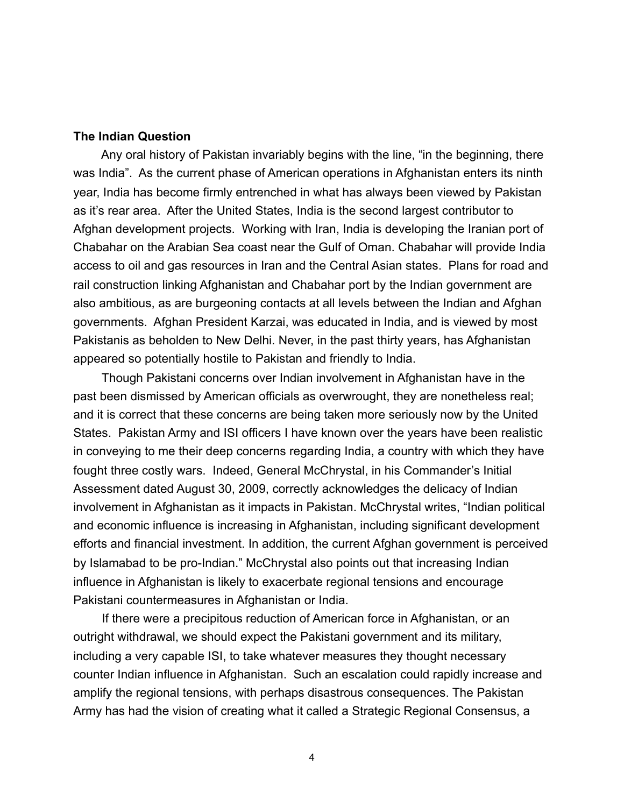### **The Indian Question**

 Any oral history of Pakistan invariably begins with the line, "in the beginning, there was India". As the current phase of American operations in Afghanistan enters its ninth year, India has become firmly entrenched in what has always been viewed by Pakistan as it's rear area. After the United States, India is the second largest contributor to Afghan development projects. Working with Iran, India is developing the Iranian port of Chabahar on the Arabian Sea coast near the Gulf of Oman. Chabahar will provide India access to oil and gas resources in Iran and the Central Asian states. Plans for road and rail construction linking Afghanistan and Chabahar port by the Indian government are also ambitious, as are burgeoning contacts at all levels between the Indian and Afghan governments. Afghan President Karzai, was educated in India, and is viewed by most Pakistanis as beholden to New Delhi. Never, in the past thirty years, has Afghanistan appeared so potentially hostile to Pakistan and friendly to India.

 Though Pakistani concerns over Indian involvement in Afghanistan have in the past been dismissed by American officials as overwrought, they are nonetheless real; and it is correct that these concerns are being taken more seriously now by the United States. Pakistan Army and ISI officers I have known over the years have been realistic in conveying to me their deep concerns regarding India, a country with which they have fought three costly wars. Indeed, General McChrystal, in his Commander's Initial Assessment dated August 30, 2009, correctly acknowledges the delicacy of Indian involvement in Afghanistan as it impacts in Pakistan. McChrystal writes, "Indian political and economic influence is increasing in Afghanistan, including significant development efforts and financial investment. In addition, the current Afghan government is perceived by Islamabad to be pro-Indian." McChrystal also points out that increasing Indian influence in Afghanistan is likely to exacerbate regional tensions and encourage Pakistani countermeasures in Afghanistan or India.

 If there were a precipitous reduction of American force in Afghanistan, or an outright withdrawal, we should expect the Pakistani government and its military, including a very capable ISI, to take whatever measures they thought necessary counter Indian influence in Afghanistan. Such an escalation could rapidly increase and amplify the regional tensions, with perhaps disastrous consequences. The Pakistan Army has had the vision of creating what it called a Strategic Regional Consensus, a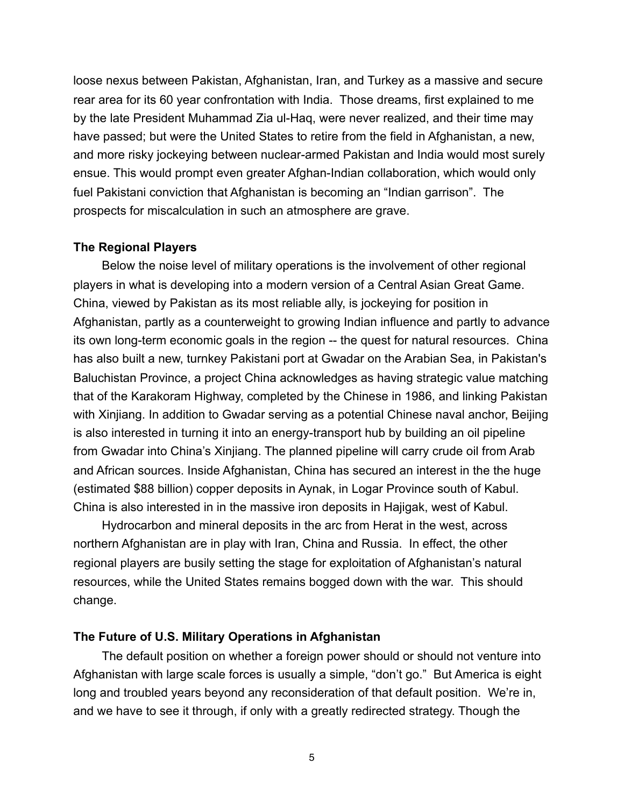loose nexus between Pakistan, Afghanistan, Iran, and Turkey as a massive and secure rear area for its 60 year confrontation with India. Those dreams, first explained to me by the late President Muhammad Zia ul-Haq, were never realized, and their time may have passed; but were the United States to retire from the field in Afghanistan, a new, and more risky jockeying between nuclear-armed Pakistan and India would most surely ensue. This would prompt even greater Afghan-Indian collaboration, which would only fuel Pakistani conviction that Afghanistan is becoming an "Indian garrison". The prospects for miscalculation in such an atmosphere are grave.

#### **The Regional Players**

 Below the noise level of military operations is the involvement of other regional players in what is developing into a modern version of a Central Asian Great Game. China, viewed by Pakistan as its most reliable ally, is jockeying for position in Afghanistan, partly as a counterweight to growing Indian influence and partly to advance its own long-term economic goals in the region -- the quest for natural resources. China has also built a new, turnkey Pakistani port at Gwadar on the Arabian Sea, in Pakistan's Baluchistan Province, a project China acknowledges as having strategic value matching that of the Karakoram Highway, completed by the Chinese in 1986, and linking Pakistan with Xinjiang. In addition to Gwadar serving as a potential Chinese naval anchor, Beijing is also interested in turning it into an energy-transport hub by building an oil pipeline from Gwadar into China's [Xinjiang](http://en.wikipedia.org/wiki/Xinjiang). The planned pipeline will carry crude oil from [Arab](http://en.wikipedia.org/wiki/Arab) and [African](http://en.wikipedia.org/wiki/African) sources. Inside Afghanistan, China has secured an interest in the the huge (estimated \$88 billion) copper deposits in Aynak, in Logar Province south of Kabul. China is also interested in in the massive iron deposits in Hajigak, west of Kabul.

 Hydrocarbon and mineral deposits in the arc from Herat in the west, across northern Afghanistan are in play with Iran, China and Russia. In effect, the other regional players are busily setting the stage for exploitation of Afghanistan's natural resources, while the United States remains bogged down with the war. This should change.

#### **The Future of U.S. Military Operations in Afghanistan**

The default position on whether a foreign power should or should not venture into Afghanistan with large scale forces is usually a simple, "don't go." But America is eight long and troubled years beyond any reconsideration of that default position. We're in, and we have to see it through, if only with a greatly redirected strategy. Though the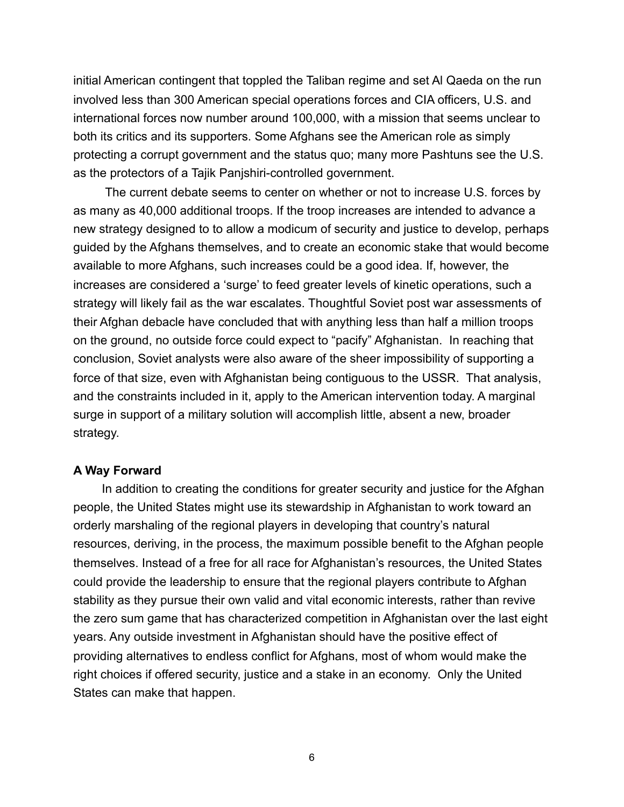initial American contingent that toppled the Taliban regime and set Al Qaeda on the run involved less than 300 American special operations forces and CIA officers, U.S. and international forces now number around 100,000, with a mission that seems unclear to both its critics and its supporters. Some Afghans see the American role as simply protecting a corrupt government and the status quo; many more Pashtuns see the U.S. as the protectors of a Tajik Panjshiri-controlled government.

 The current debate seems to center on whether or not to increase U.S. forces by as many as 40,000 additional troops. If the troop increases are intended to advance a new strategy designed to to allow a modicum of security and justice to develop, perhaps guided by the Afghans themselves, and to create an economic stake that would become available to more Afghans, such increases could be a good idea. If, however, the increases are considered a 'surge' to feed greater levels of kinetic operations, such a strategy will likely fail as the war escalates. Thoughtful Soviet post war assessments of their Afghan debacle have concluded that with anything less than half a million troops on the ground, no outside force could expect to "pacify" Afghanistan. In reaching that conclusion, Soviet analysts were also aware of the sheer impossibility of supporting a force of that size, even with Afghanistan being contiguous to the USSR. That analysis, and the constraints included in it, apply to the American intervention today. A marginal surge in support of a military solution will accomplish little, absent a new, broader strategy.

# **A Way Forward**

 In addition to creating the conditions for greater security and justice for the Afghan people, the United States might use its stewardship in Afghanistan to work toward an orderly marshaling of the regional players in developing that country's natural resources, deriving, in the process, the maximum possible benefit to the Afghan people themselves. Instead of a free for all race for Afghanistan's resources, the United States could provide the leadership to ensure that the regional players contribute to Afghan stability as they pursue their own valid and vital economic interests, rather than revive the zero sum game that has characterized competition in Afghanistan over the last eight years. Any outside investment in Afghanistan should have the positive effect of providing alternatives to endless conflict for Afghans, most of whom would make the right choices if offered security, justice and a stake in an economy. Only the United States can make that happen.